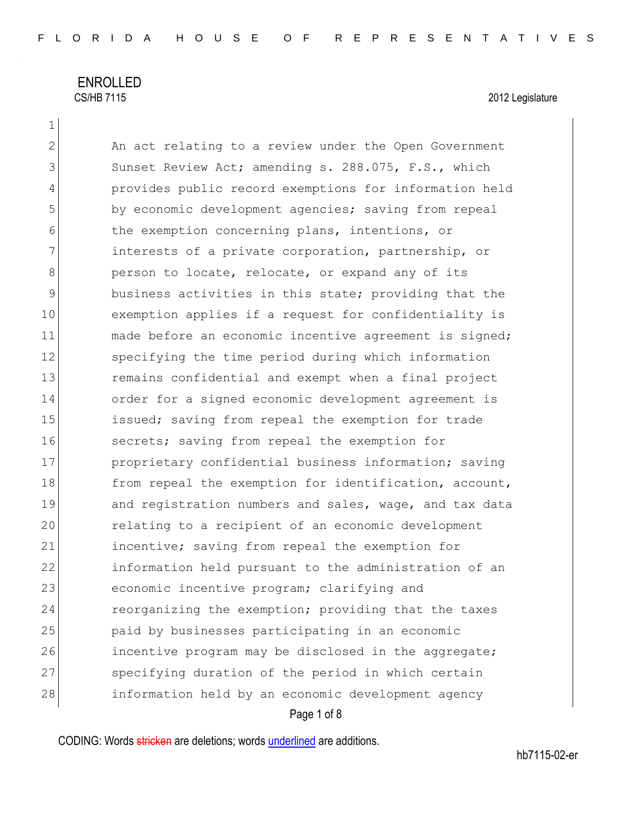1

2 An act relating to a review under the Open Government 3 Sunset Review Act; amending s. 288.075, F.S., which 4 provides public record exemptions for information held 5 by economic development agencies; saving from repeal 6 the exemption concerning plans, intentions, or 7 1111 1111 interests of a private corporation, partnership, or 8 **person to locate, relocate, or expand any of its** 9 business activities in this state; providing that the 10 exemption applies if a request for confidentiality is 11 made before an economic incentive agreement is signed; 12 specifying the time period during which information 13 13 remains confidential and exempt when a final project 14 order for a signed economic development agreement is 15 issued; saving from repeal the exemption for trade 16 secrets; saving from repeal the exemption for 17 proprietary confidential business information; saving 18 from repeal the exemption for identification, account, 19 and registration numbers and sales, wage, and tax data 20 relating to a recipient of an economic development 21 incentive; saving from repeal the exemption for 22 information held pursuant to the administration of an 23 economic incentive program; clarifying and 24 reorganizing the exemption; providing that the taxes 25 paid by businesses participating in an economic 26 incentive program may be disclosed in the aggregate; 27 specifying duration of the period in which certain 28 information held by an economic development agency

### Page 1 of 8

CODING: Words stricken are deletions; words underlined are additions.

hb7115-02-er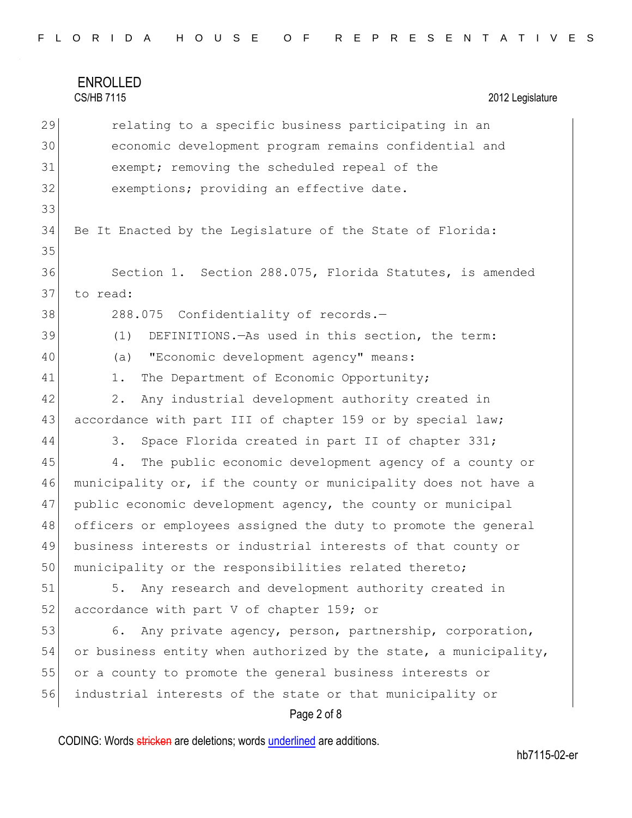## ENROLLED CS/HB 7115 2012 Legislature Page 2 of 8 29 relating to a specific business participating in an 30 economic development program remains confidential and 31 exempt; removing the scheduled repeal of the 32 exemptions; providing an effective date. 33 34 Be It Enacted by the Legislature of the State of Florida: 35 36 Section 1. Section 288.075, Florida Statutes, is amended 37 to read: 38 288.075 Confidentiality of records.-39 (1) DEFINITIONS.—As used in this section, the term: 40 (a) "Economic development agency" means: 41 1. The Department of Economic Opportunity; 42 2. Any industrial development authority created in 43 accordance with part III of chapter 159 or by special law; 44 3. Space Florida created in part II of chapter 331; 45 4. The public economic development agency of a county or 46 municipality or, if the county or municipality does not have a 47 public economic development agency, the county or municipal 48 officers or employees assigned the duty to promote the general 49 business interests or industrial interests of that county or 50 municipality or the responsibilities related thereto; 51 5. Any research and development authority created in 52 accordance with part V of chapter 159; or 53 6. Any private agency, person, partnership, corporation, 54 or business entity when authorized by the state, a municipality, 55 or a county to promote the general business interests or 56 industrial interests of the state or that municipality or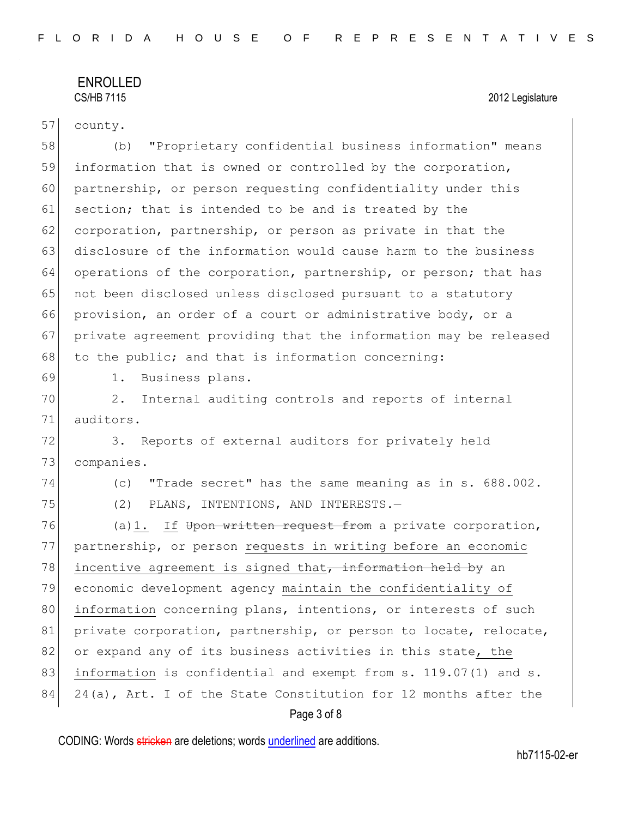# ENROLLED<br>CS/HB 7115

### 2012 Legislature

| 57 | county.                                                          |
|----|------------------------------------------------------------------|
| 58 | "Proprietary confidential business information" means<br>(b)     |
| 59 | information that is owned or controlled by the corporation,      |
| 60 | partnership, or person requesting confidentiality under this     |
| 61 | section; that is intended to be and is treated by the            |
| 62 | corporation, partnership, or person as private in that the       |
| 63 | disclosure of the information would cause harm to the business   |
| 64 | operations of the corporation, partnership, or person; that has  |
| 65 | not been disclosed unless disclosed pursuant to a statutory      |
| 66 | provision, an order of a court or administrative body, or a      |
| 67 | private agreement providing that the information may be released |
| 68 | to the public; and that is information concerning:               |
| 69 | Business plans.<br>1.                                            |
| 70 | Internal auditing controls and reports of internal<br>2.         |
| 71 | auditors.                                                        |
| 72 | Reports of external auditors for privately held<br>3.            |
| 73 | companies.                                                       |
| 74 | "Trade secret" has the same meaning as in s. 688.002.<br>(C)     |
| 75 | (2)<br>PLANS, INTENTIONS, AND INTERESTS.-                        |
| 76 | If Upon written request from a private corporation,<br>(a) 1.    |
| 77 | partnership, or person requests in writing before an economic    |
| 78 | incentive agreement is signed that, information held by an       |
| 79 | economic development agency maintain the confidentiality of      |
| 80 | information concerning plans, intentions, or interests of such   |
| 81 | private corporation, partnership, or person to locate, relocate, |
| 82 | or expand any of its business activities in this state, the      |
| 83 | information is confidential and exempt from s. 119.07(1) and s.  |
| 84 | 24(a), Art. I of the State Constitution for 12 months after the  |
|    |                                                                  |

Page 3 of 8

CODING: Words stricken are deletions; words underlined are additions.

hb7115-02-er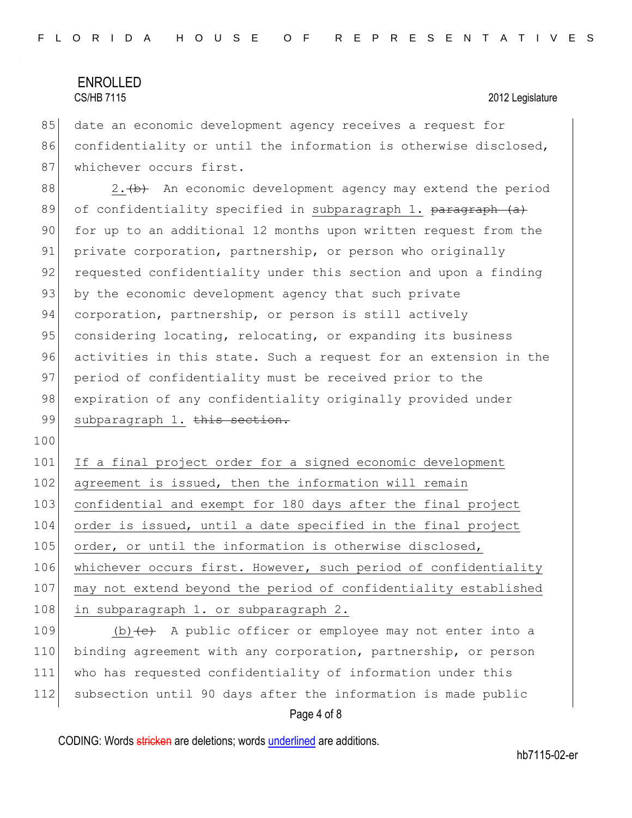85 date an economic development agency receives a request for 86 confidentiality or until the information is otherwise disclosed, 87 whichever occurs first.

88  $\vert$  2.  $\vert$  An economic development agency may extend the period 89 of confidentiality specified in subparagraph 1. paragraph (a) 90 for up to an additional 12 months upon written request from the 91 private corporation, partnership, or person who originally 92 requested confidentiality under this section and upon a finding 93 by the economic development agency that such private 94 corporation, partnership, or person is still actively 95 considering locating, relocating, or expanding its business 96 activities in this state. Such a request for an extension in the 97 period of confidentiality must be received prior to the 98 expiration of any confidentiality originally provided under 99 subparagraph 1. this section.

100

101 If a final project order for a signed economic development 102 agreement is issued, then the information will remain 103 confidential and exempt for 180 days after the final project 104 order is issued, until a date specified in the final project 105 order, or until the information is otherwise disclosed, 106 whichever occurs first. However, such period of confidentiality 107 may not extend beyond the period of confidentiality established 108 in subparagraph 1. or subparagraph 2.

 $(b)$   $(e)$  A public officer or employee may not enter into a binding agreement with any corporation, partnership, or person who has requested confidentiality of information under this subsection until 90 days after the information is made public

### Page 4 of 8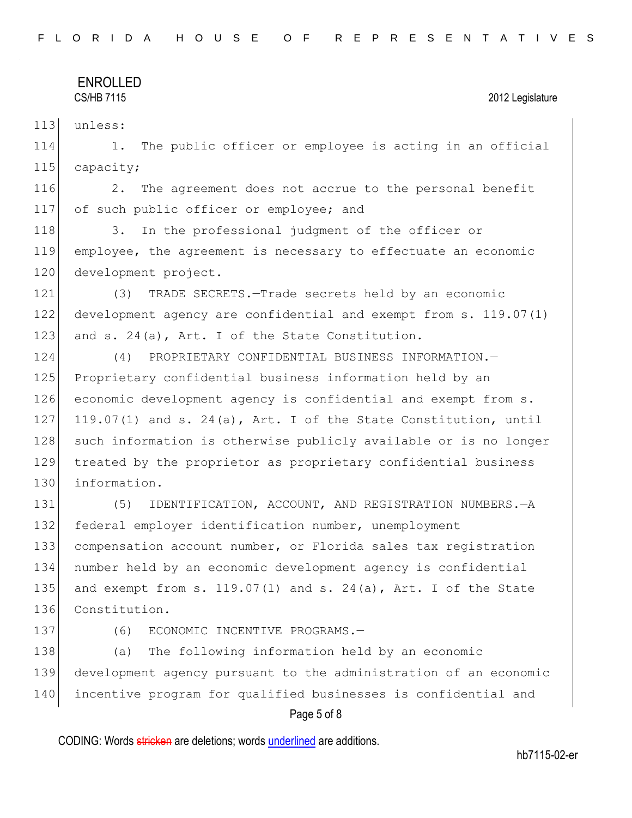113 unless:

114 1. The public officer or employee is acting in an official 115 capacity;

116 2. The agreement does not accrue to the personal benefit 117 of such public officer or employee; and

118 3. In the professional judgment of the officer or 119 employee, the agreement is necessary to effectuate an economic 120 development project.

121 (3) TRADE SECRETS.—Trade secrets held by an economic 122 development agency are confidential and exempt from s. 119.07(1) 123 and s. 24(a), Art. I of the State Constitution.

124 (4) PROPRIETARY CONFIDENTIAL BUSINESS INFORMATION.— 125 Proprietary confidential business information held by an 126 economic development agency is confidential and exempt from s. 127 119.07(1) and s. 24(a), Art. I of the State Constitution, until 128 such information is otherwise publicly available or is no longer 129 treated by the proprietor as proprietary confidential business 130 information.

 (5) IDENTIFICATION, ACCOUNT, AND REGISTRATION NUMBERS.—A federal employer identification number, unemployment compensation account number, or Florida sales tax registration number held by an economic development agency is confidential 135 and exempt from s.  $119.07(1)$  and s.  $24(a)$ , Art. I of the State 136 Constitution.

137 (6) ECONOMIC INCENTIVE PROGRAMS.-

138 (a) The following information held by an economic 139 development agency pursuant to the administration of an economic 140 incentive program for qualified businesses is confidential and

### Page 5 of 8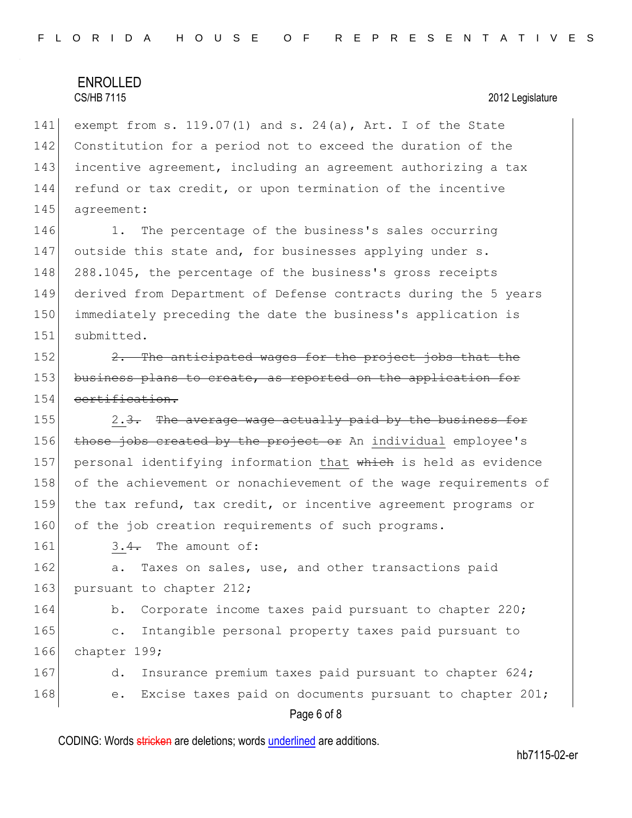141 exempt from s. 119.07(1) and s. 24(a), Art. I of the State 142 Constitution for a period not to exceed the duration of the 143 incentive agreement, including an agreement authorizing a tax 144 refund or tax credit, or upon termination of the incentive 145 agreement:

146 1. The percentage of the business's sales occurring 147 outside this state and, for businesses applying under s. 148 288.1045, the percentage of the business's gross receipts 149 derived from Department of Defense contracts during the 5 years 150 immediately preceding the date the business's application is 151 submitted.

152  $\vert$  2. The anticipated wages for the project jobs that the 153 business plans to create, as reported on the application for 154 certification.

155  $\vert$  2.<del>3.</del> The average wage actually paid by the business for 156 those jobs created by the project or An individual employee's 157 personal identifying information that which is held as evidence 158 of the achievement or nonachievement of the wage requirements of 159 the tax refund, tax credit, or incentive agreement programs or 160 of the job creation requirements of such programs.

 $161$  3.4. The amount of:

162 a. Taxes on sales, use, and other transactions paid 163 pursuant to chapter 212;

164 b. Corporate income taxes paid pursuant to chapter 220; 165 c. Intangible personal property taxes paid pursuant to 166 chapter 199;

167 d. Insurance premium taxes paid pursuant to chapter 624; 168 e. Excise taxes paid on documents pursuant to chapter 201;

### Page 6 of 8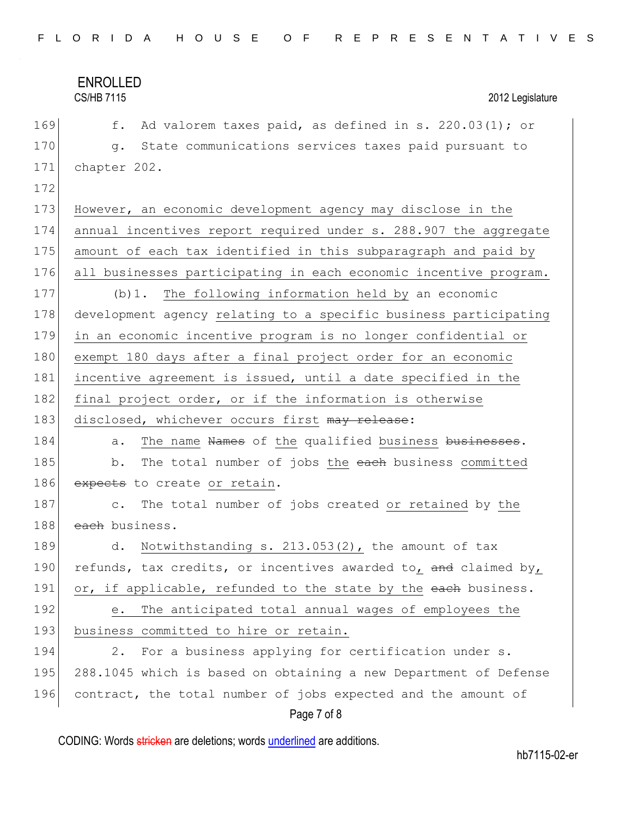Page 7 of 8 169  $\vert$  f. Ad valorem taxes paid, as defined in s. 220.03(1); or 170 g. State communications services taxes paid pursuant to 171 chapter 202. 172 173 However, an economic development agency may disclose in the 174 annual incentives report required under s. 288.907 the aggregate 175 amount of each tax identified in this subparagraph and paid by 176 all businesses participating in each economic incentive program. 177 (b)1. The following information held by an economic 178 development agency relating to a specific business participating 179 in an economic incentive program is no longer confidential or 180 exempt 180 days after a final project order for an economic 181 incentive agreement is issued, until a date specified in the 182 final project order, or if the information is otherwise 183 disclosed, whichever occurs first may release: 184 a. The name Names of the qualified business businesses. 185 b. The total number of jobs the each business committed 186 expects to create or retain. 187 c. The total number of jobs created or retained by the 188 each business. 189 d. Notwithstanding s. 213.053(2), the amount of tax 190 refunds, tax credits, or incentives awarded to, and claimed by, 191 or, if applicable, refunded to the state by the each business. 192 e. The anticipated total annual wages of employees the 193 business committed to hire or retain. 194 2. For a business applying for certification under s. 195 288.1045 which is based on obtaining a new Department of Defense 196 contract, the total number of jobs expected and the amount of